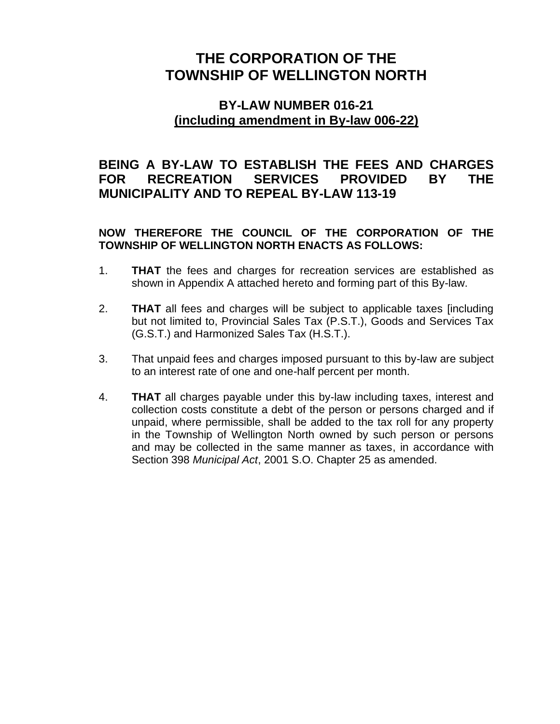## **THE CORPORATION OF THE TOWNSHIP OF WELLINGTON NORTH**

## **BY-LAW NUMBER 016-21 (including amendment in By-law 006-22)**

## **BEING A BY-LAW TO ESTABLISH THE FEES AND CHARGES FOR RECREATION SERVICES PROVIDED BY THE MUNICIPALITY AND TO REPEAL BY-LAW 113-19**

**NOW THEREFORE THE COUNCIL OF THE CORPORATION OF THE TOWNSHIP OF WELLINGTON NORTH ENACTS AS FOLLOWS:**

- 1. **THAT** the fees and charges for recreation services are established as shown in Appendix A attached hereto and forming part of this By-law.
- 2. **THAT** all fees and charges will be subject to applicable taxes [including but not limited to, Provincial Sales Tax (P.S.T.), Goods and Services Tax (G.S.T.) and Harmonized Sales Tax (H.S.T.).
- 3. That unpaid fees and charges imposed pursuant to this by-law are subject to an interest rate of one and one-half percent per month.
- 4. **THAT** all charges payable under this by-law including taxes, interest and collection costs constitute a debt of the person or persons charged and if unpaid, where permissible, shall be added to the tax roll for any property in the Township of Wellington North owned by such person or persons and may be collected in the same manner as taxes, in accordance with Section 398 *Municipal Act*, 2001 S.O. Chapter 25 as amended.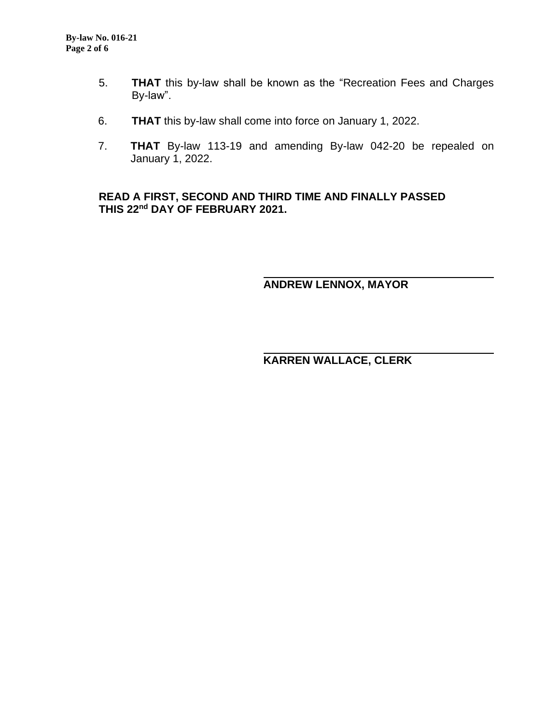- 5. **THAT** this by-law shall be known as the "Recreation Fees and Charges By-law".
- 6. **THAT** this by-law shall come into force on January 1, 2022.
- 7. **THAT** By-law 113-19 and amending By-law 042-20 be repealed on January 1, 2022.

**READ A FIRST, SECOND AND THIRD TIME AND FINALLY PASSED THIS 22nd DAY OF FEBRUARY 2021.**

**ANDREW LENNOX, MAYOR**

## **KARREN WALLACE, CLERK**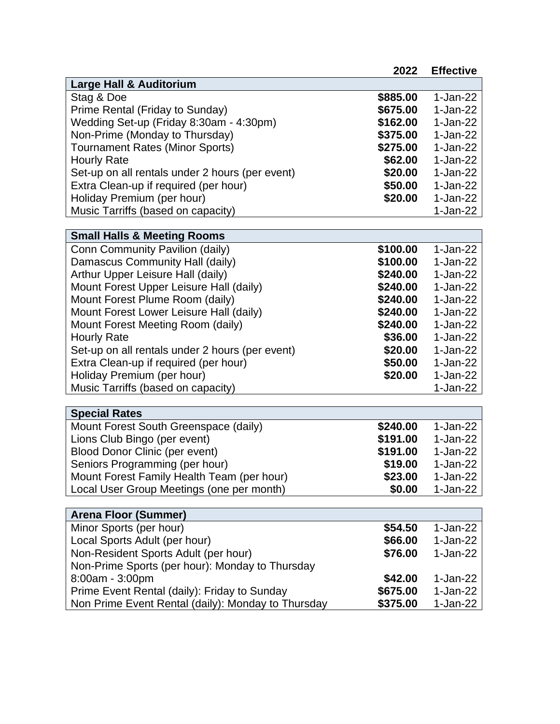|                                                                 | 2022                | <b>Effective</b>       |
|-----------------------------------------------------------------|---------------------|------------------------|
| <b>Large Hall &amp; Auditorium</b>                              |                     |                        |
| Stag & Doe                                                      | \$885.00            | $1-Jan-22$             |
| Prime Rental (Friday to Sunday)                                 | \$675.00            | $1-Jan-22$             |
| Wedding Set-up (Friday 8:30am - 4:30pm)                         | \$162.00            | $1-Jan-22$             |
| Non-Prime (Monday to Thursday)                                  | \$375.00            | $1-Jan-22$             |
| <b>Tournament Rates (Minor Sports)</b>                          | \$275.00            | $1-Jan-22$             |
| <b>Hourly Rate</b>                                              | \$62.00             | $1-Jan-22$             |
| Set-up on all rentals under 2 hours (per event)                 | \$20.00             | $1-Jan-22$             |
| Extra Clean-up if required (per hour)                           | \$50.00             | $1-Jan-22$             |
| Holiday Premium (per hour)                                      | \$20.00             | 1-Jan-22               |
| Music Tarriffs (based on capacity)                              |                     | 1-Jan-22               |
|                                                                 |                     |                        |
| <b>Small Halls &amp; Meeting Rooms</b>                          |                     |                        |
| Conn Community Pavilion (daily)                                 | \$100.00            | 1-Jan-22               |
| Damascus Community Hall (daily)                                 | \$100.00            | $1-Jan-22$             |
| Arthur Upper Leisure Hall (daily)                               | \$240.00            | $1-Jan-22$             |
| Mount Forest Upper Leisure Hall (daily)                         | \$240.00            | 1-Jan-22               |
| Mount Forest Plume Room (daily)                                 | \$240.00            | 1-Jan-22               |
| Mount Forest Lower Leisure Hall (daily)                         | \$240.00            | $1-Jan-22$             |
| Mount Forest Meeting Room (daily)                               | \$240.00            | $1-Jan-22$             |
| <b>Hourly Rate</b>                                              | \$36.00             | 1-Jan-22               |
| Set-up on all rentals under 2 hours (per event)                 | \$20.00             | $1-Jan-22$             |
| Extra Clean-up if required (per hour)                           | \$50.00             | 1-Jan-22               |
| Holiday Premium (per hour)                                      | \$20.00             | 1-Jan-22               |
| Music Tarriffs (based on capacity)                              |                     | 1-Jan-22               |
|                                                                 |                     |                        |
| <b>Special Rates</b>                                            |                     |                        |
| Mount Forest South Greenspace (daily)                           | \$240.00            | $1-Jan-22$             |
| Lions Club Bingo (per event)                                    | \$191.00            | $1-Jan-22$             |
| <b>Blood Donor Clinic (per event)</b>                           | \$191.00            | 1-Jan-22               |
| Seniors Programming (per hour)                                  | \$19.00             | 1-Jan-22               |
| Mount Forest Family Health Team (per hour)                      | \$23.00             | $1-Jan-22$             |
| Local User Group Meetings (one per month)                       | \$0.00              | 1-Jan-22               |
|                                                                 |                     |                        |
| <b>Arena Floor (Summer)</b>                                     |                     | $1-Jan-22$             |
| Minor Sports (per hour)                                         | \$54.50             |                        |
| Local Sports Adult (per hour)                                   | \$66.00             | 1-Jan-22               |
| Non-Resident Sports Adult (per hour)                            | \$76.00             | 1-Jan-22               |
| Non-Prime Sports (per hour): Monday to Thursday                 |                     |                        |
| 8:00am - 3:00pm<br>Prime Event Rental (daily): Friday to Sunday | \$42.00<br>\$675.00 | 1-Jan-22<br>$1-Jan-22$ |
|                                                                 |                     |                        |
| Non Prime Event Rental (daily): Monday to Thursday              | \$375.00            | 1-Jan-22               |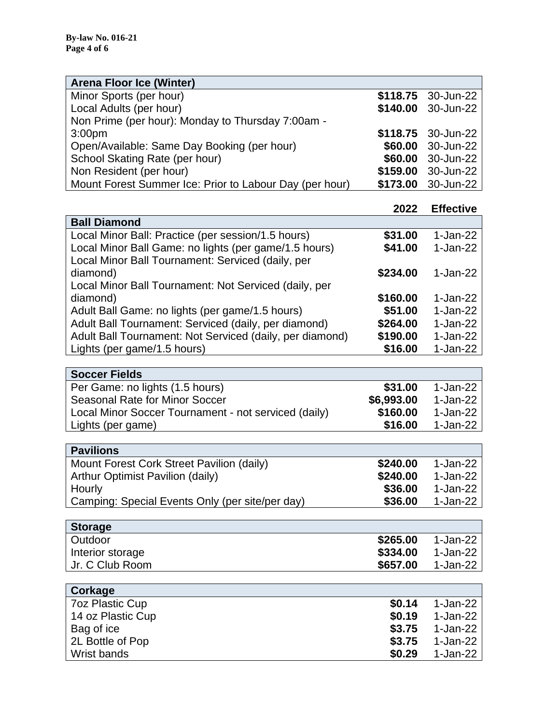| <b>Arena Floor Ice (Winter)</b>                         |                    |
|---------------------------------------------------------|--------------------|
| Minor Sports (per hour)                                 | \$118.75 30-Jun-22 |
| Local Adults (per hour)                                 | \$140.00 30-Jun-22 |
| Non Prime (per hour): Monday to Thursday 7:00am -       |                    |
| 3:00 <sub>pm</sub>                                      | \$118.75 30-Jun-22 |
| Open/Available: Same Day Booking (per hour)             | \$60.00 30-Jun-22  |
| School Skating Rate (per hour)                          | \$60.00 30-Jun-22  |
| Non Resident (per hour)                                 | \$159.00 30-Jun-22 |
| Mount Forest Summer Ice: Prior to Labour Day (per hour) | \$173.00 30-Jun-22 |

|                                                          | 2022     | <b>Effective</b> |
|----------------------------------------------------------|----------|------------------|
| <b>Ball Diamond</b>                                      |          |                  |
| Local Minor Ball: Practice (per session/1.5 hours)       | \$31.00  | 1-Jan-22         |
| Local Minor Ball Game: no lights (per game/1.5 hours)    | \$41.00  | $1-Jan-22$       |
| Local Minor Ball Tournament: Serviced (daily, per        |          |                  |
| diamond)                                                 | \$234.00 | 1-Jan-22         |
| Local Minor Ball Tournament: Not Serviced (daily, per    |          |                  |
| diamond)                                                 | \$160.00 | $1-Jan-22$       |
| Adult Ball Game: no lights (per game/1.5 hours)          | \$51.00  | $1-Jan-22$       |
| Adult Ball Tournament: Serviced (daily, per diamond)     | \$264.00 | $1-Jan-22$       |
| Adult Ball Tournament: Not Serviced (daily, per diamond) | \$190.00 | $1-Jan-22$       |
| Lights (per game/1.5 hours)                              | \$16.00  | $1-Jan-22$       |

| <b>Soccer Fields</b>                                 |            |            |
|------------------------------------------------------|------------|------------|
| Per Game: no lights (1.5 hours)                      | \$31.00    | 1-Jan-22   |
| Seasonal Rate for Minor Soccer                       | \$6,993.00 | 1-Jan-22   |
| Local Minor Soccer Tournament - not serviced (daily) | \$160.00   | $1-Jan-22$ |
| Lights (per game)                                    | \$16.00    | 1-Jan-22   |
|                                                      |            |            |

| <b>Pavilions</b>                                |          |            |
|-------------------------------------------------|----------|------------|
| Mount Forest Cork Street Pavilion (daily)       | \$240.00 | 1-Jan-22   |
| Arthur Optimist Pavilion (daily)                | \$240.00 | 1-Jan-22   |
| Hourly                                          | \$36.00  | 1-Jan-22   |
| Camping: Special Events Only (per site/per day) | \$36.00  | $1-Jan-22$ |

| <b>Storage</b>   |          |          |
|------------------|----------|----------|
| Outdoor          | \$265.00 | 1-Jan-22 |
| Interior storage | \$334.00 | 1-Jan-22 |
| Jr. C Club Room  | \$657.00 | 1-Jan-22 |

| Corkage                |        |            |
|------------------------|--------|------------|
| <b>7oz Plastic Cup</b> | \$0.14 | 1-Jan-22   |
| 14 oz Plastic Cup      | \$0.19 | 1-Jan-22   |
| Bag of ice             | \$3.75 | 1-Jan-22   |
| 2L Bottle of Pop       | \$3.75 | $1-Jan-22$ |
| Wrist bands            | \$0.29 | $1-Jan-22$ |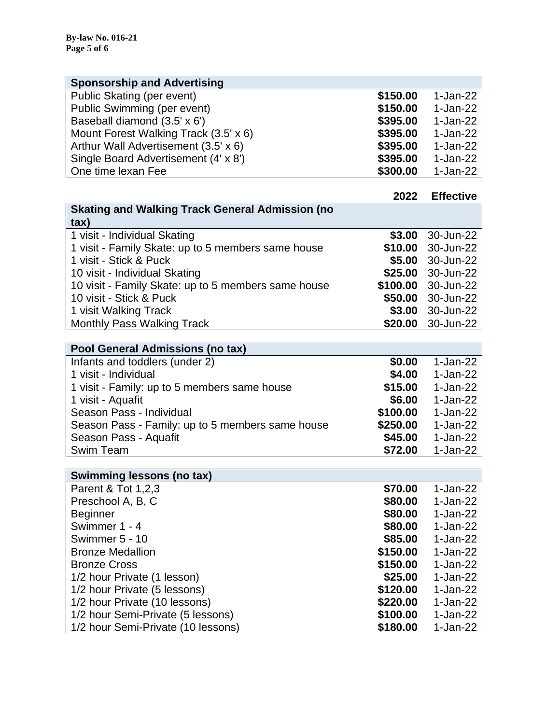| <b>Sponsorship and Advertising</b>    |          |            |
|---------------------------------------|----------|------------|
| Public Skating (per event)            | \$150.00 | $1-Jan-22$ |
| Public Swimming (per event)           | \$150.00 | 1-Jan-22   |
| Baseball diamond (3.5' x 6')          | \$395.00 | $1-Jan-22$ |
| Mount Forest Walking Track (3.5' x 6) | \$395.00 | $1-Jan-22$ |
| Arthur Wall Advertisement (3.5' x 6)  | \$395.00 | $1-Jan-22$ |
| Single Board Advertisement (4' x 8')  | \$395.00 | $1-Jan-22$ |
| One time lexan Fee                    | \$300.00 | $1-Jan-22$ |

|                                                        | 2022     | <b>Effective</b>  |
|--------------------------------------------------------|----------|-------------------|
| <b>Skating and Walking Track General Admission (no</b> |          |                   |
| $\{$                                                   |          |                   |
| 1 visit - Individual Skating                           | \$3.00   | 30-Jun-22         |
| 1 visit - Family Skate: up to 5 members same house     | \$10.00  | 30-Jun-22         |
| 1 visit - Stick & Puck                                 |          | \$5.00 30-Jun-22  |
| 10 visit - Individual Skating                          |          | \$25.00 30-Jun-22 |
| 10 visit - Family Skate: up to 5 members same house    | \$100.00 | 30-Jun-22         |
| 10 visit - Stick & Puck                                | \$50.00  | 30-Jun-22         |
| 1 visit Walking Track                                  | \$3.00   | 30-Jun-22         |
| <b>Monthly Pass Walking Track</b>                      | \$20.00  | 30-Jun-22         |

| Pool General Admissions (no tax)                 |          |            |
|--------------------------------------------------|----------|------------|
| Infants and toddlers (under 2)                   | \$0.00   | 1-Jan-22   |
| 1 visit - Individual                             | \$4.00   | $1-Jan-22$ |
| 1 visit - Family: up to 5 members same house     | \$15.00  | $1-Jan-22$ |
| 1 visit - Aquafit                                | \$6.00   | $1-Jan-22$ |
| Season Pass - Individual                         | \$100.00 | 1-Jan-22   |
| Season Pass - Family: up to 5 members same house | \$250.00 | 1-Jan-22   |
| Season Pass - Aquafit                            | \$45.00  | $1-Jan-22$ |
| Swim Team                                        | \$72.00  | $1-Jan-22$ |

| <b>Swimming lessons (no tax)</b>   |          |            |
|------------------------------------|----------|------------|
| Parent & Tot 1,2,3                 | \$70.00  | $1-Jan-22$ |
| Preschool A, B, C                  | \$80.00  | $1-Jan-22$ |
| <b>Beginner</b>                    | \$80.00  | 1-Jan-22   |
| Swimmer 1 - 4                      | \$80.00  | $1-Jan-22$ |
| Swimmer 5 - 10                     | \$85.00  | $1-Jan-22$ |
| <b>Bronze Medallion</b>            | \$150.00 | $1-Jan-22$ |
| <b>Bronze Cross</b>                | \$150.00 | $1-Jan-22$ |
| 1/2 hour Private (1 lesson)        | \$25.00  | $1-Jan-22$ |
| 1/2 hour Private (5 lessons)       | \$120.00 | $1-Jan-22$ |
| 1/2 hour Private (10 lessons)      | \$220.00 | 1-Jan-22   |
| 1/2 hour Semi-Private (5 lessons)  | \$100.00 | 1-Jan-22   |
| 1/2 hour Semi-Private (10 lessons) | \$180.00 | 1-Jan-22   |